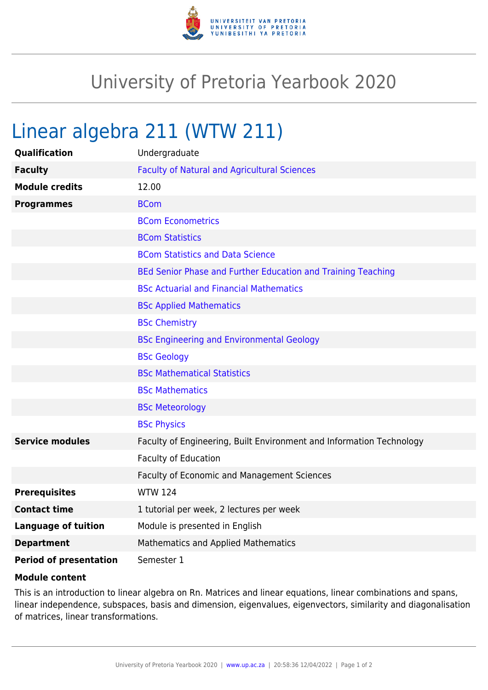

## University of Pretoria Yearbook 2020

## Linear algebra 211 (WTW 211)

| Qualification                 | Undergraduate                                                        |
|-------------------------------|----------------------------------------------------------------------|
| <b>Faculty</b>                | <b>Faculty of Natural and Agricultural Sciences</b>                  |
| <b>Module credits</b>         | 12.00                                                                |
| <b>Programmes</b>             | <b>BCom</b>                                                          |
|                               | <b>BCom Econometrics</b>                                             |
|                               | <b>BCom Statistics</b>                                               |
|                               | <b>BCom Statistics and Data Science</b>                              |
|                               | BEd Senior Phase and Further Education and Training Teaching         |
|                               | <b>BSc Actuarial and Financial Mathematics</b>                       |
|                               | <b>BSc Applied Mathematics</b>                                       |
|                               | <b>BSc Chemistry</b>                                                 |
|                               | <b>BSc Engineering and Environmental Geology</b>                     |
|                               | <b>BSc Geology</b>                                                   |
|                               | <b>BSc Mathematical Statistics</b>                                   |
|                               | <b>BSc Mathematics</b>                                               |
|                               | <b>BSc Meteorology</b>                                               |
|                               | <b>BSc Physics</b>                                                   |
| <b>Service modules</b>        | Faculty of Engineering, Built Environment and Information Technology |
|                               | <b>Faculty of Education</b>                                          |
|                               | Faculty of Economic and Management Sciences                          |
| <b>Prerequisites</b>          | <b>WTW 124</b>                                                       |
| <b>Contact time</b>           | 1 tutorial per week, 2 lectures per week                             |
| <b>Language of tuition</b>    | Module is presented in English                                       |
| <b>Department</b>             | Mathematics and Applied Mathematics                                  |
| <b>Period of presentation</b> | Semester 1                                                           |

## **Module content**

This is an introduction to linear algebra on Rn. Matrices and linear equations, linear combinations and spans, linear independence, subspaces, basis and dimension, eigenvalues, eigenvectors, similarity and diagonalisation of matrices, linear transformations.